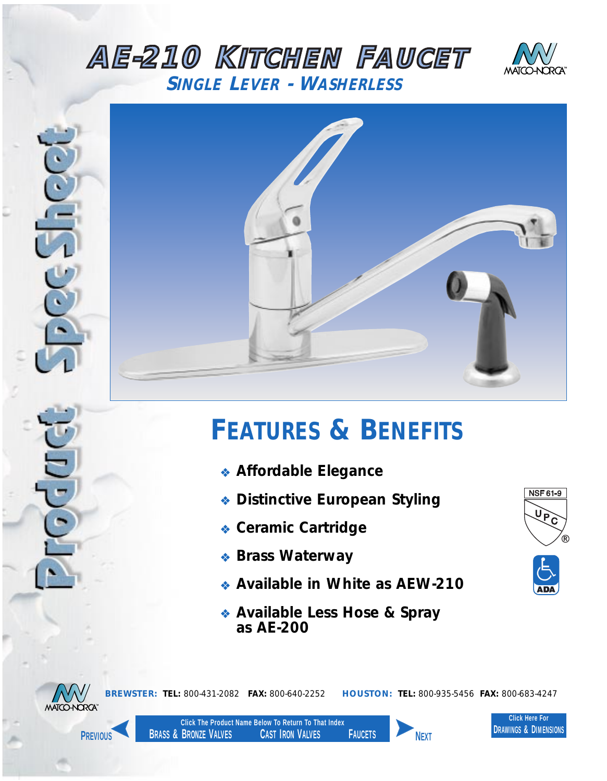## <span id="page-0-0"></span>*AE-210 KITCHEN FAUCET SINGLE LEVER - WASHERLESS*





## *FEATURES & BENEFITS*

- ❖ *Affordable Elegance*
- ❖ *Distinctive European Styling*
- ❖ *Ceramic Cartridge*
- ❖ *Brass Waterway*
- ❖ *Available in White as AEW-210*
- ❖ *Available Less Hose & Spray as AE-200*





*BREWSTER: TEL: 800-431-2082 FAX: 800-640-2252 HOUSTON: TEL: 800-935-5456 FAX: 800-683-4247*



**Click The Product Name Below To Return To That Index BRASS & BRONZE VALVES CAST IRON VALVES FAUCETS PREVIOUS NEXT**